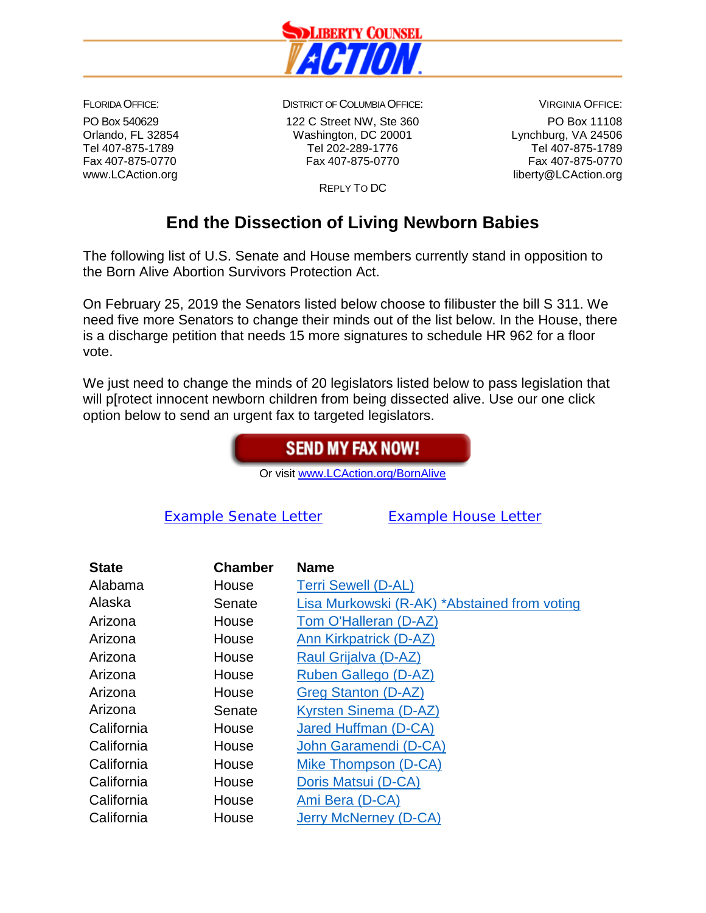

FLORIDA OFFICE: PO Box 540629 Orlando, FL 32854 Tel 407-875-1789 Fax 407-875-0770 www.LCAction.org

DISTRICT OF COLUMBIA OFFICE:

122 C Street NW, Ste 360 Washington, DC 20001 Tel 202-289-1776 Fax 407-875-0770

VIRGINIA OFFICE: PO Box 11108 Lynchburg, VA 24506 Tel 407-875-1789 Fax 407-875-0770 liberty@LCAction.org

REPLY TO DC

## **End the Dissection of Living Newborn Babies**

The following list of U.S. Senate and House members currently stand in opposition to the Born Alive Abortion Survivors Protection Act.

On February 25, 2019 the Senators listed below choose to filibuster the bill S 311. We need five more Senators to change their minds out of the list below. In the House, there is a discharge petition that needs 15 more signatures to schedule HR 962 for a floor vote.

We just need to change the minds of 20 legislators listed below to pass legislation that will p[rotect innocent newborn children from being dissected alive. Use our one click option below to send an urgent fax to targeted legislators.

## **SEND MY FAX NOW!**

Or visit [www.LCAction.org/BornAlive](http://www.lcaction.org/BornAlive)

[Example Senate Letter](http://libertycounselaction.org/LCA-PDFs/2019/Born.Alive.Senate.Example.Letter.FINAL1.docx) [Example House](http://libertycounselaction.org/LCA-PDFs/2019/Born.Alive.Rep.Example.Letter.FINAL1.docx) Letter

| <b>State</b> | <b>Chamber</b> | <b>Name</b>                                  |
|--------------|----------------|----------------------------------------------|
| Alabama      | House          | <b>Terri Sewell (D-AL)</b>                   |
| Alaska       | Senate         | Lisa Murkowski (R-AK) *Abstained from voting |
| Arizona      | House          | Tom O'Halleran (D-AZ)                        |
| Arizona      | House          | Ann Kirkpatrick (D-AZ)                       |
| Arizona      | House          | Raul Grijalva (D-AZ)                         |
| Arizona      | House          | Ruben Gallego (D-AZ)                         |
| Arizona      | House          | Greg Stanton (D-AZ)                          |
| Arizona      | Senate         | Kyrsten Sinema (D-AZ)                        |
| California   | House          | Jared Huffman (D-CA)                         |
| California   | House          | John Garamendi (D-CA)                        |
| California   | House          | Mike Thompson (D-CA)                         |
| California   | House          | Doris Matsui (D-CA)                          |
| California   | House          | Ami Bera (D-CA)                              |
| California   | House          | Jerry McNerney (D-CA)                        |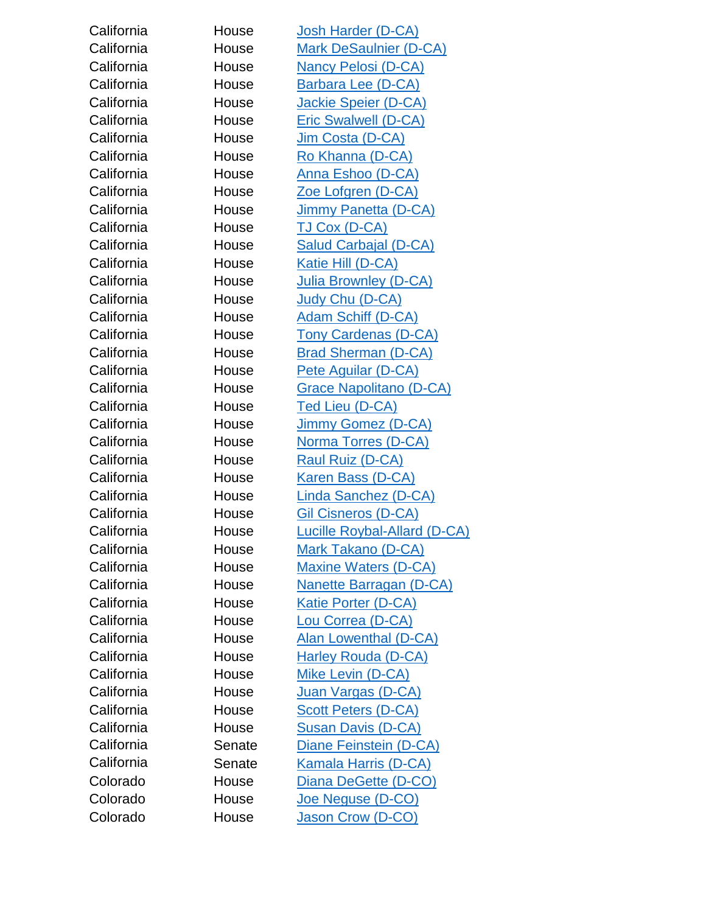| California | House  | <b>Josh Harder (D-CA)</b>           |
|------------|--------|-------------------------------------|
| California | House  | <b>Mark DeSaulnier (D-CA)</b>       |
| California | House  | <b>Nancy Pelosi (D-CA)</b>          |
| California | House  | Barbara Lee (D-CA)                  |
| California | House  | Jackie Speier (D-CA)                |
| California | House  | <b>Eric Swalwell (D-CA)</b>         |
| California | House  | Jim Costa (D-CA)                    |
| California | House  | Ro Khanna (D-CA)                    |
| California | House  | Anna Eshoo (D-CA)                   |
| California | House  | Zoe Lofgren (D-CA)                  |
| California | House  | Jimmy Panetta (D-CA)                |
| California | House  | <b>TJ Cox (D-CA)</b>                |
| California | House  | <b>Salud Carbajal (D-CA)</b>        |
| California | House  | Katie Hill (D-CA)                   |
| California | House  | <b>Julia Brownley (D-CA)</b>        |
| California | House  | Judy Chu (D-CA)                     |
| California | House  | <b>Adam Schiff (D-CA)</b>           |
| California | House  | <b>Tony Cardenas (D-CA)</b>         |
| California | House  | <b>Brad Sherman (D-CA)</b>          |
| California | House  | <b>Pete Aguilar (D-CA)</b>          |
| California | House  | <b>Grace Napolitano (D-CA)</b>      |
| California | House  | <b>Ted Lieu (D-CA)</b>              |
| California | House  | Jimmy Gomez (D-CA)                  |
| California | House  | Norma Torres (D-CA)                 |
| California | House  | Raul Ruiz (D-CA)                    |
| California | House  | <b>Karen Bass (D-CA)</b>            |
| California | House  | Linda Sanchez (D-CA)                |
| California | House  | <b>Gil Cisneros (D-CA)</b>          |
| California | House  | <b>Lucille Roybal-Allard (D-CA)</b> |
| California | House  | <b>Mark Takano (D-CA)</b>           |
| California | House  | <b>Maxine Waters (D-CA)</b>         |
| California | House  | <b>Nanette Barragan (D-CA)</b>      |
| California | House  | Katie Porter (D-CA)                 |
| California | House  | Lou Correa (D-CA)                   |
| California | House  | Alan Lowenthal (D-CA)               |
| California | House  | Harley Rouda (D-CA)                 |
| California | House  | Mike Levin (D-CA)                   |
| California | House  | Juan Vargas (D-CA)                  |
| California | House  | <b>Scott Peters (D-CA)</b>          |
| California | House  | Susan Davis (D-CA)                  |
| California | Senate | Diane Feinstein (D-CA)              |
| California | Senate | <u>Kamala Harris (D-CA)</u>         |
| Colorado   | House  | Diana DeGette (D-CO)                |
| Colorado   | House  | <u>Joe Neguse (D-CO)</u>            |
| Colorado   | House  | Jason Crow (D-CO)                   |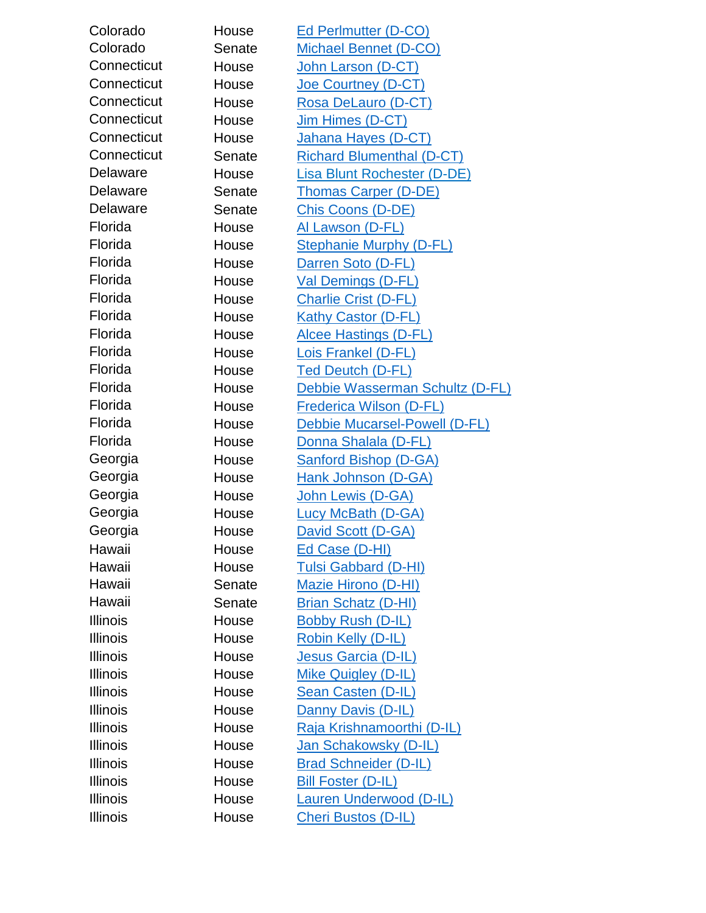| Colorado        | House  | Ed Perlmutter (D-CO)               |
|-----------------|--------|------------------------------------|
| Colorado        | Senate | <b>Michael Bennet (D-CO)</b>       |
| Connecticut     | House  | John Larson (D-CT)                 |
| Connecticut     | House  | <b>Joe Courtney (D-CT)</b>         |
| Connecticut     | House  | Rosa DeLauro (D-CT)                |
| Connecticut     | House  | Jim Himes (D-CT)                   |
| Connecticut     | House  | Jahana Hayes (D-CT)                |
| Connecticut     | Senate | <b>Richard Blumenthal (D-CT)</b>   |
| Delaware        | House  | <b>Lisa Blunt Rochester (D-DE)</b> |
| <b>Delaware</b> | Senate | <b>Thomas Carper (D-DE)</b>        |
| <b>Delaware</b> | Senate | <b>Chis Coons (D-DE)</b>           |
| Florida         | House  | <u>Al Lawson (D-FL)</u>            |
| Florida         | House  | <b>Stephanie Murphy (D-FL)</b>     |
| Florida         | House  | Darren Soto (D-FL)                 |
| Florida         | House  | <b>Val Demings (D-FL)</b>          |
| Florida         | House  | <b>Charlie Crist (D-FL)</b>        |
| Florida         | House  | <b>Kathy Castor (D-FL)</b>         |
| Florida         | House  | <b>Alcee Hastings (D-FL)</b>       |
| Florida         | House  | Lois Frankel (D-FL)                |
| Florida         | House  | <b>Ted Deutch (D-FL)</b>           |
| Florida         | House  | Debbie Wasserman Schultz (D-FL)    |
| Florida         | House  | <b>Frederica Wilson (D-FL)</b>     |
| Florida         | House  | Debbie Mucarsel-Powell (D-FL)      |
| Florida         | House  | Donna Shalala (D-FL)               |
| Georgia         | House  | <b>Sanford Bishop (D-GA)</b>       |
| Georgia         | House  | Hank Johnson (D-GA)                |
| Georgia         | House  | John Lewis (D-GA)                  |
| Georgia         | House  | <b>Lucy McBath (D-GA)</b>          |
| Georgia         | House  | David Scott (D-GA)                 |
| Hawaii          | House  | Ed Case (D-HI)                     |
| Hawaii          | House  | <b>Tulsi Gabbard (D-HI)</b>        |
| Hawaii          | Senate | <b>Mazie Hirono (D-HI)</b>         |
| Hawaii          | Senate | Brian Schatz (D-HI)                |
| <b>Illinois</b> | House  | <b>Bobby Rush (D-IL)</b>           |
| <b>Illinois</b> | House  | Robin Kelly (D-IL)                 |
| <b>Illinois</b> | House  | Jesus Garcia (D-IL)                |
| <b>Illinois</b> | House  | Mike Quigley (D-IL)                |
| <b>Illinois</b> | House  | Sean Casten (D-IL)                 |
| <b>Illinois</b> | House  | Danny Davis (D-IL)                 |
| <b>Illinois</b> | House  | Raja Krishnamoorthi (D-IL)         |
| <b>Illinois</b> | House  | Jan Schakowsky (D-IL)              |
| Illinois        | House  | <b>Brad Schneider (D-IL)</b>       |
| <b>Illinois</b> | House  | <b>Bill Foster (D-IL)</b>          |
| <b>Illinois</b> | House  | <b>Lauren Underwood (D-IL)</b>     |
| <b>Illinois</b> | House  | Cheri Bustos (D-IL)                |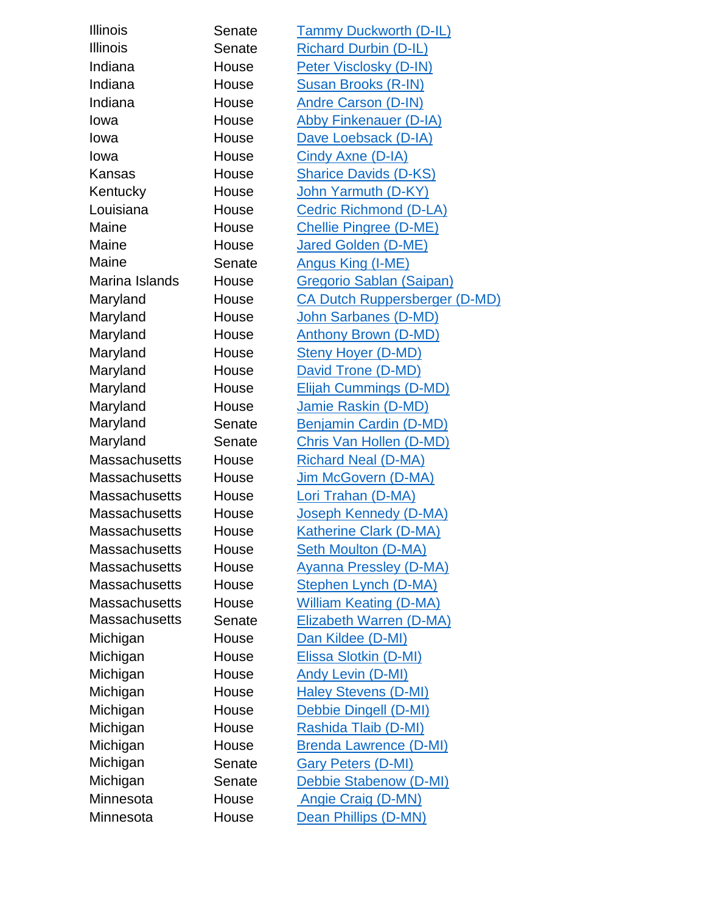| <b>Illinois</b>      | Senate | <b>Tammy Duckworth (D-IL)</b>   |
|----------------------|--------|---------------------------------|
| <b>Illinois</b>      | Senate | <b>Richard Durbin (D-IL)</b>    |
| Indiana              | House  | Peter Visclosky (D-IN)          |
| Indiana              | House  | <b>Susan Brooks (R-IN)</b>      |
| Indiana              | House  | <b>Andre Carson (D-IN)</b>      |
| Iowa                 | House  | <b>Abby Finkenauer (D-IA)</b>   |
| lowa                 | House  | Dave Loebsack (D-IA)            |
| Iowa                 | House  | Cindy Axne (D-IA)               |
| Kansas               | House  | <b>Sharice Davids (D-KS)</b>    |
| Kentucky             | House  | John Yarmuth (D-KY)             |
| Louisiana            | House  | <b>Cedric Richmond (D-LA)</b>   |
| Maine                | House  | <b>Chellie Pingree (D-ME)</b>   |
| Maine                | House  | <b>Jared Golden (D-ME)</b>      |
| Maine                | Senate | <b>Angus King (I-ME)</b>        |
| Marina Islands       | House  | <b>Gregorio Sablan (Saipan)</b> |
| Maryland             | House  | CA Dutch Ruppersberger (D-MD)   |
| Maryland             | House  | John Sarbanes (D-MD)            |
| Maryland             | House  | <b>Anthony Brown (D-MD)</b>     |
| Maryland             | House  | <b>Steny Hoyer (D-MD)</b>       |
| Maryland             | House  | David Trone (D-MD)              |
| Maryland             | House  | <b>Elijah Cummings (D-MD)</b>   |
| Maryland             | House  | Jamie Raskin (D-MD)             |
| Maryland             | Senate | Benjamin Cardin (D-MD)          |
| Maryland             | Senate | <b>Chris Van Hollen (D-MD)</b>  |
| <b>Massachusetts</b> | House  | <b>Richard Neal (D-MA)</b>      |
| <b>Massachusetts</b> | House  | Jim McGovern (D-MA)             |
| <b>Massachusetts</b> | House  | Lori Trahan (D-MA)              |
| <b>Massachusetts</b> | House  | Joseph Kennedy (D-MA)           |
| <b>Massachusetts</b> | House  | <b>Katherine Clark (D-MA)</b>   |
| Massachusetts        | House  | <b>Seth Moulton (D-MA)</b>      |
| <b>Massachusetts</b> | House  | <b>Ayanna Pressley (D-MA)</b>   |
| <b>Massachusetts</b> | House  | <b>Stephen Lynch (D-MA)</b>     |
| <b>Massachusetts</b> | House  | <b>William Keating (D-MA)</b>   |
| <b>Massachusetts</b> | Senate | Elizabeth Warren (D-MA)         |
| Michigan             | House  | Dan Kildee (D-MI)               |
| Michigan             | House  | Elissa Slotkin (D-MI)           |
| Michigan             | House  | <b>Andy Levin (D-MI)</b>        |
| Michigan             | House  | <b>Haley Stevens (D-MI)</b>     |
| Michigan             | House  | Debbie Dingell (D-MI)           |
| Michigan             | House  | Rashida Tlaib (D-MI)            |
| Michigan             | House  | <b>Brenda Lawrence (D-MI)</b>   |
| Michigan             | Senate | <b>Gary Peters (D-MI)</b>       |
| Michigan             | Senate | Debbie Stabenow (D-MI)          |
| Minnesota            | House  | <b>Angie Craig (D-MN)</b>       |
| Minnesota            | House  | Dean Phillips (D-MN)            |
|                      |        |                                 |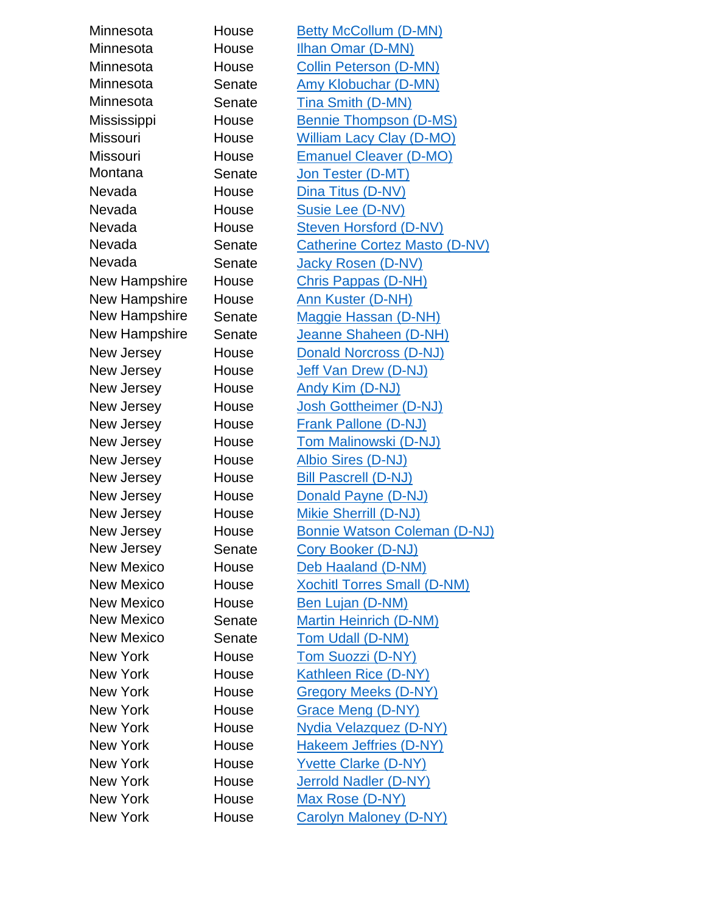| Minnesota         | House  | <b>Betty McCollum (D-MN)</b>         |
|-------------------|--------|--------------------------------------|
| Minnesota         | House  | Ilhan Omar (D-MN)                    |
| Minnesota         | House  | <b>Collin Peterson (D-MN)</b>        |
| Minnesota         | Senate | <b>Amy Klobuchar (D-MN)</b>          |
| Minnesota         | Senate | <b>Tina Smith (D-MN)</b>             |
| Mississippi       | House  | <b>Bennie Thompson (D-MS)</b>        |
| <b>Missouri</b>   | House  | <b>William Lacy Clay (D-MO)</b>      |
| <b>Missouri</b>   | House  | <b>Emanuel Cleaver (D-MO)</b>        |
| Montana           | Senate | Jon Tester (D-MT)                    |
| Nevada            | House  | Dina Titus (D-NV)                    |
| Nevada            | House  | Susie Lee (D-NV)                     |
| Nevada            | House  | <b>Steven Horsford (D-NV)</b>        |
| Nevada            | Senate | <b>Catherine Cortez Masto (D-NV)</b> |
| Nevada            | Senate | Jacky Rosen (D-NV)                   |
| New Hampshire     | House  | <b>Chris Pappas (D-NH)</b>           |
| New Hampshire     | House  | Ann Kuster (D-NH)                    |
| New Hampshire     | Senate | Maggie Hassan (D-NH)                 |
| New Hampshire     | Senate | Jeanne Shaheen (D-NH)                |
| New Jersey        | House  | <b>Donald Norcross (D-NJ)</b>        |
| New Jersey        | House  | Jeff Van Drew (D-NJ)                 |
| New Jersey        | House  | Andy Kim (D-NJ)                      |
| New Jersey        | House  | Josh Gottheimer (D-NJ)               |
| New Jersey        | House  | <b>Frank Pallone (D-NJ)</b>          |
| New Jersey        | House  | <b>Tom Malinowski (D-NJ)</b>         |
| New Jersey        | House  | <b>Albio Sires (D-NJ)</b>            |
| New Jersey        | House  | <b>Bill Pascrell (D-NJ)</b>          |
| New Jersey        | House  | Donald Payne (D-NJ)                  |
| New Jersey        | House  | Mikie Sherrill (D-NJ)                |
| New Jersey        | House  | <b>Bonnie Watson Coleman (D-NJ)</b>  |
| New Jersey        | Senate | Cory Booker (D-NJ)                   |
| <b>New Mexico</b> | House  | Deb Haaland (D-NM)                   |
| <b>New Mexico</b> | House  | <b>Xochitl Torres Small (D-NM)</b>   |
| <b>New Mexico</b> | House  | <b>Ben Lujan (D-NM)</b>              |
| <b>New Mexico</b> | Senate | Martin Heinrich (D-NM)               |
| <b>New Mexico</b> | Senate | Tom Udall (D-NM)                     |
| <b>New York</b>   | House  | <b>Tom Suozzi (D-NY)</b>             |
| <b>New York</b>   | House  | Kathleen Rice (D-NY)                 |
| New York          | House  | <b>Gregory Meeks (D-NY)</b>          |
| <b>New York</b>   | House  | Grace Meng (D-NY)                    |
| <b>New York</b>   | House  | <b>Nydia Velazquez (D-NY)</b>        |
| New York          | House  | <b>Hakeem Jeffries (D-NY)</b>        |
| <b>New York</b>   | House  | <b>Yvette Clarke (D-NY)</b>          |
| New York          | House  | <b>Jerrold Nadler (D-NY)</b>         |
| <b>New York</b>   | House  | Max Rose (D-NY)                      |
| <b>New York</b>   | House  | <b>Carolyn Maloney (D-NY)</b>        |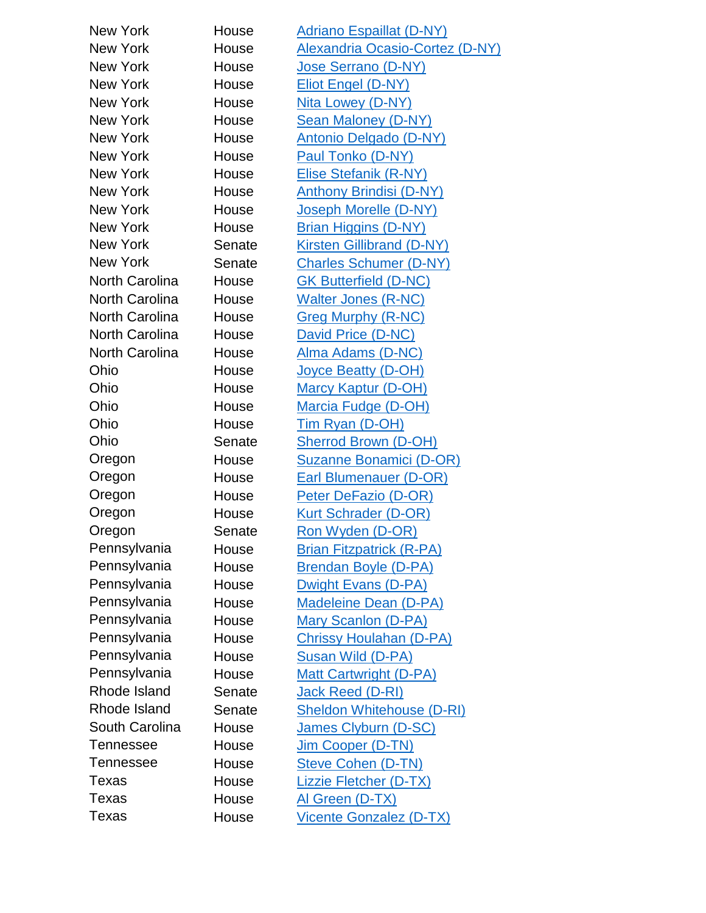| New York              | House  |                                                                    |
|-----------------------|--------|--------------------------------------------------------------------|
| <b>New York</b>       | House  | <b>Adriano Espaillat (D-NY)</b><br>Alexandria Ocasio-Cortez (D-NY) |
| New York              | House  | <b>Jose Serrano (D-NY)</b>                                         |
| New York              | House  | Eliot Engel (D-NY)                                                 |
| New York              | House  |                                                                    |
| New York              |        | Nita Lowey (D-NY)                                                  |
|                       | House  | <b>Sean Maloney (D-NY)</b>                                         |
| New York              | House  | <b>Antonio Delgado (D-NY)</b>                                      |
| New York              | House  | Paul Tonko (D-NY)                                                  |
| New York              | House  | Elise Stefanik (R-NY)                                              |
| New York              | House  | <b>Anthony Brindisi (D-NY)</b>                                     |
| New York              | House  | Joseph Morelle (D-NY)                                              |
| New York              | House  | <b>Brian Higgins (D-NY)</b>                                        |
| New York              | Senate | <b>Kirsten Gillibrand (D-NY)</b>                                   |
| New York              | Senate | <b>Charles Schumer (D-NY)</b>                                      |
| <b>North Carolina</b> | House  | <b>GK Butterfield (D-NC)</b>                                       |
| <b>North Carolina</b> | House  | <b>Walter Jones (R-NC)</b>                                         |
| <b>North Carolina</b> | House  | <b>Greg Murphy (R-NC)</b>                                          |
| <b>North Carolina</b> | House  | David Price (D-NC)                                                 |
| <b>North Carolina</b> | House  | Alma Adams (D-NC)                                                  |
| Ohio                  | House  | <u>Joyce Beatty (D-OH)</u>                                         |
| Ohio                  | House  | <b>Marcy Kaptur (D-OH)</b>                                         |
| Ohio                  | House  | <b>Marcia Fudge (D-OH)</b>                                         |
| Ohio                  | House  | Tim Ryan (D-OH)                                                    |
| Ohio                  | Senate | <b>Sherrod Brown (D-OH)</b>                                        |
| Oregon                | House  | <b>Suzanne Bonamici (D-OR)</b>                                     |
| Oregon                | House  | <b>Earl Blumenauer (D-OR)</b>                                      |
| Oregon                | House  | Peter DeFazio (D-OR)                                               |
| Oregon                | House  | <b>Kurt Schrader (D-OR)</b>                                        |
| Oregon                | Senate | Ron Wyden (D-OR)                                                   |
| Pennsylvania          | House  | <b>Brian Fitzpatrick (R-PA)</b>                                    |
| Pennsylvania          | House  | <b>Brendan Boyle (D-PA)</b>                                        |
| Pennsylvania          | House  | Dwight Evans (D-PA)                                                |
| Pennsylvania          | House  | <b>Madeleine Dean (D-PA)</b>                                       |
| Pennsylvania          | House  | Mary Scanlon (D-PA)                                                |
| Pennsylvania          | House  | <b>Chrissy Houlahan (D-PA)</b>                                     |
| Pennsylvania          | House  | Susan Wild (D-PA)                                                  |
| Pennsylvania          | House  | <b>Matt Cartwright (D-PA)</b>                                      |
| Rhode Island          | Senate | Jack Reed (D-RI)                                                   |
| Rhode Island          | Senate | <b>Sheldon Whitehouse (D-RI)</b>                                   |
| South Carolina        | House  | James Clyburn (D-SC)                                               |
| Tennessee             | House  | Jim Cooper (D-TN)                                                  |
| Tennessee             | House  | <b>Steve Cohen (D-TN)</b>                                          |
| Texas                 | House  | <b>Lizzie Fletcher (D-TX)</b>                                      |
| Texas                 | House  | Al Green (D-TX)                                                    |
| Texas                 | House  | <b>Vicente Gonzalez (D-TX)</b>                                     |
|                       |        |                                                                    |